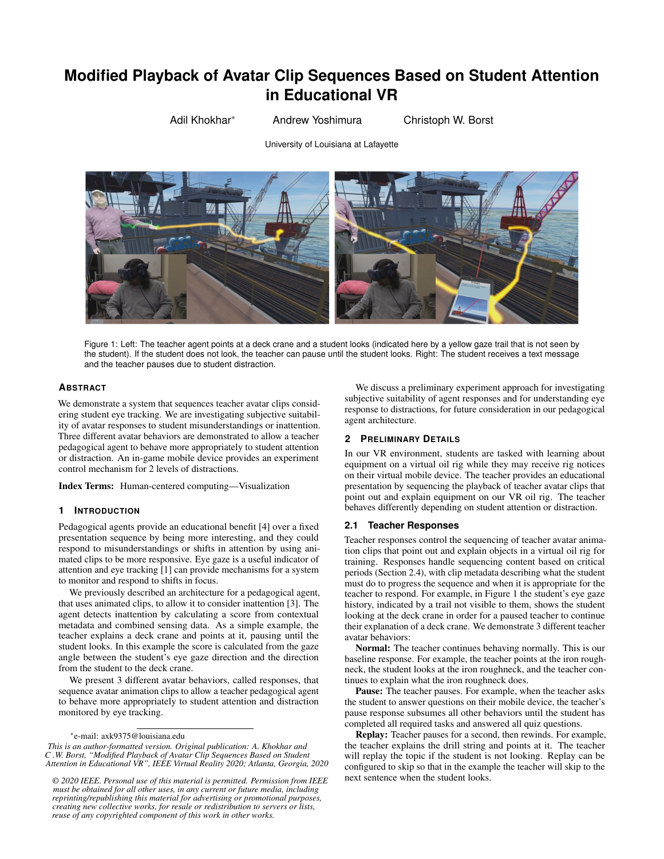# **Modified Playback of Avatar Clip Sequences Based on Student Attention in Educational VR**

Adil Khokhar\* Andrew Yoshimura Christoph W. Borst

University of Louisiana at Lafayette



Figure 1: Left: The teacher agent points at a deck crane and a student looks (indicated here by a yellow gaze trail that is not seen by the student). If the student does not look, the teacher can pause until the student looks. Right: The student receives a text message and the teacher pauses due to student distraction.

# **ABSTRACT**

We demonstrate a system that sequences teacher avatar clips considering student eye tracking. We are investigating subjective suitability of avatar responses to student misunderstandings or inattention. Three different avatar behaviors are demonstrated to allow a teacher pedagogical agent to behave more appropriately to student attention or distraction. An in-game mobile device provides an experiment control mechanism for 2 levels of distractions.

Index Terms: Human-centered computing—Visualization

#### **1 INTRODUCTION**

Pedagogical agents provide an educational benefit [\[4\]](#page-1-0) over a fixed presentation sequence by being more interesting, and they could respond to misunderstandings or shifts in attention by using animated clips to be more responsive. Eye gaze is a useful indicator of attention and eye tracking [\[1\]](#page-1-1) can provide mechanisms for a system to monitor and respond to shifts in focus.

We previously described an architecture for a pedagogical agent, that uses animated clips, to allow it to consider inattention [\[3\]](#page-1-2). The agent detects inattention by calculating a score from contextual metadata and combined sensing data. As a simple example, the teacher explains a deck crane and points at it, pausing until the student looks. In this example the score is calculated from the gaze angle between the student's eye gaze direction and the direction from the student to the deck crane.

We present 3 different avatar behaviors, called responses, that sequence avatar animation clips to allow a teacher pedagogical agent to behave more appropriately to student attention and distraction monitored by eye tracking.

*This is an author-formatted version. Original publication: A. Khokhar and C .W. Borst, "Modified Playback of Avatar Clip Sequences Based on Student Attention in Educational VR", IEEE Virtual Reality 2020; Atlanta, Georgia, 2020*

*© 2020 IEEE. Personal use of this material is permitted. Permission from IEEE must be obtained for all other uses, in any current or future media, including reprinting/republishing this material for advertising or promotional purposes, creating new collective works, for resale or redistribution to servers or lists, reuse of any copyrighted component of this work in other works.*

We discuss a preliminary experiment approach for investigating subjective suitability of agent responses and for understanding eye response to distractions, for future consideration in our pedagogical agent architecture.

#### **2 PRELIMINARY DETAILS**

In our VR environment, students are tasked with learning about equipment on a virtual oil rig while they may receive rig notices on their virtual mobile device. The teacher provides an educational presentation by sequencing the playback of teacher avatar clips that point out and explain equipment on our VR oil rig. The teacher behaves differently depending on student attention or distraction.

# **2.1 Teacher Responses**

Teacher responses control the sequencing of teacher avatar animation clips that point out and explain objects in a virtual oil rig for training. Responses handle sequencing content based on critical periods (Section [2.4\)](#page-1-3), with clip metadata describing what the student must do to progress the sequence and when it is appropriate for the teacher to respond. For example, in Figure 1 the student's eye gaze history, indicated by a trail not visible to them, shows the student looking at the deck crane in order for a paused teacher to continue their explanation of a deck crane. We demonstrate 3 different teacher avatar behaviors:

Normal: The teacher continues behaving normally. This is our baseline response. For example, the teacher points at the iron roughneck, the student looks at the iron roughneck, and the teacher continues to explain what the iron roughneck does.

Pause: The teacher pauses. For example, when the teacher asks the student to answer questions on their mobile device, the teacher's pause response subsumes all other behaviors until the student has completed all required tasks and answered all quiz questions.

Replay: Teacher pauses for a second, then rewinds. For example, the teacher explains the drill string and points at it. The teacher will replay the topic if the student is not looking. Replay can be configured to skip so that in the example the teacher will skip to the next sentence when the student looks.

<sup>\*</sup>e-mail: axk9375@louisiana.edu